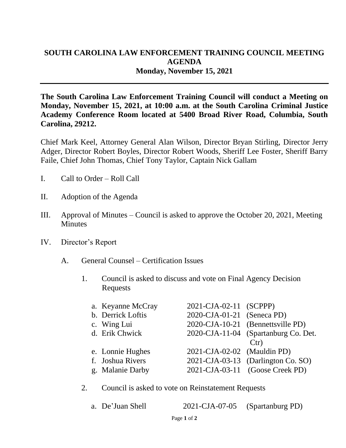## **SOUTH CAROLINA LAW ENFORCEMENT TRAINING COUNCIL MEETING AGENDA Monday, November 15, 2021**

**The South Carolina Law Enforcement Training Council will conduct a Meeting on Monday, November 15, 2021, at 10:00 a.m. at the South Carolina Criminal Justice Academy Conference Room located at 5400 Broad River Road, Columbia, South Carolina, 29212.** 

Chief Mark Keel, Attorney General Alan Wilson, Director Bryan Stirling, Director Jerry Adger, Director Robert Boyles, Director Robert Woods, Sheriff Lee Foster, Sheriff Barry Faile, Chief John Thomas, Chief Tony Taylor, Captain Nick Gallam

- I. Call to Order Roll Call
- II. Adoption of the Agenda
- III. Approval of Minutes Council is asked to approve the October 20, 2021, Meeting **Minutes**
- IV. Director's Report
	- A. General Counsel Certification Issues
		- 1. Council is asked to discuss and vote on Final Agency Decision Requests

| a. Keyanne McCray | 2021-CJA-02-11 (SCPPP)      |                                      |
|-------------------|-----------------------------|--------------------------------------|
| b. Derrick Loftis | 2020-CJA-01-21 (Seneca PD)  |                                      |
| c. Wing Lui       |                             | 2020-CJA-10-21 (Bennettsville PD)    |
| d. Erik Chwick    |                             | 2020-CJA-11-04 (Spartanburg Co. Det. |
|                   |                             | Ctr)                                 |
| e. Lonnie Hughes  | 2021-CJA-02-02 (Mauldin PD) |                                      |
| f. Joshua Rivers  |                             | 2021-CJA-03-13 (Darlington Co. SO)   |
|                   |                             | 2021-CJA-03-11 (Goose Creek PD)      |
|                   | g. Malanie Darby            |                                      |

## 2. Council is asked to vote on Reinstatement Requests

| a. De'Juan Shell | 2021-CJA-07-05 (Spartanburg PD) |  |
|------------------|---------------------------------|--|
|------------------|---------------------------------|--|